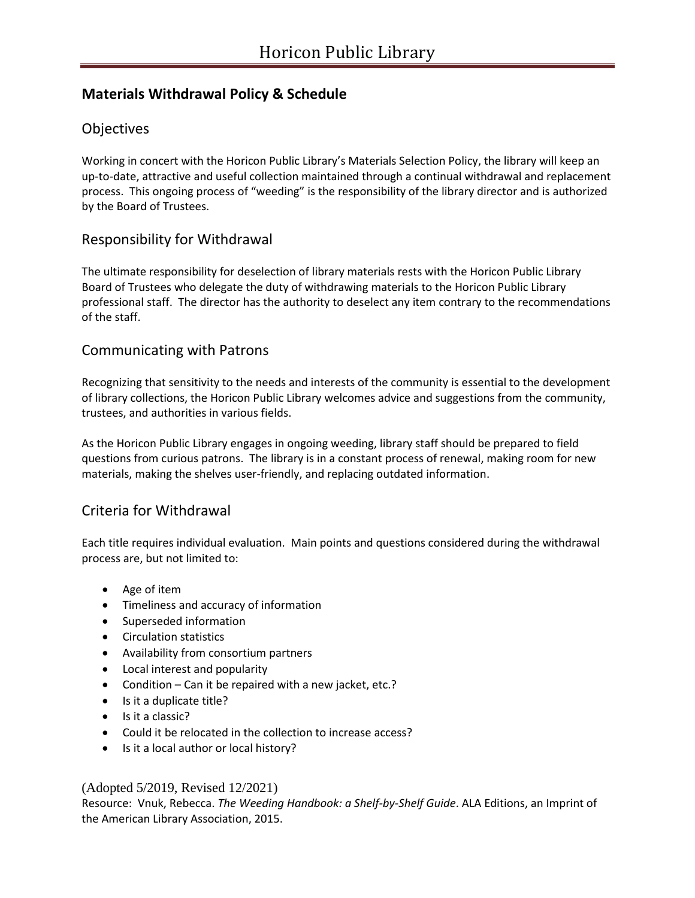## **Materials Withdrawal Policy & Schedule**

## **Objectives**

Working in concert with the Horicon Public Library's Materials Selection Policy, the library will keep an up-to-date, attractive and useful collection maintained through a continual withdrawal and replacement process. This ongoing process of "weeding" is the responsibility of the library director and is authorized by the Board of Trustees.

## Responsibility for Withdrawal

The ultimate responsibility for deselection of library materials rests with the Horicon Public Library Board of Trustees who delegate the duty of withdrawing materials to the Horicon Public Library professional staff. The director has the authority to deselect any item contrary to the recommendations of the staff.

### Communicating with Patrons

Recognizing that sensitivity to the needs and interests of the community is essential to the development of library collections, the Horicon Public Library welcomes advice and suggestions from the community, trustees, and authorities in various fields.

As the Horicon Public Library engages in ongoing weeding, library staff should be prepared to field questions from curious patrons. The library is in a constant process of renewal, making room for new materials, making the shelves user-friendly, and replacing outdated information.

### Criteria for Withdrawal

Each title requires individual evaluation. Main points and questions considered during the withdrawal process are, but not limited to:

- Age of item
- Timeliness and accuracy of information
- Superseded information
- Circulation statistics
- Availability from consortium partners
- Local interest and popularity
- Condition Can it be repaired with a new jacket, etc.?
- Is it a duplicate title?
- Is it a classic?
- Could it be relocated in the collection to increase access?
- Is it a local author or local history?

#### (Adopted 5/2019, Revised 12/2021)

Resource: Vnuk, Rebecca. *The Weeding Handbook: a Shelf-by-Shelf Guide*. ALA Editions, an Imprint of the American Library Association, 2015.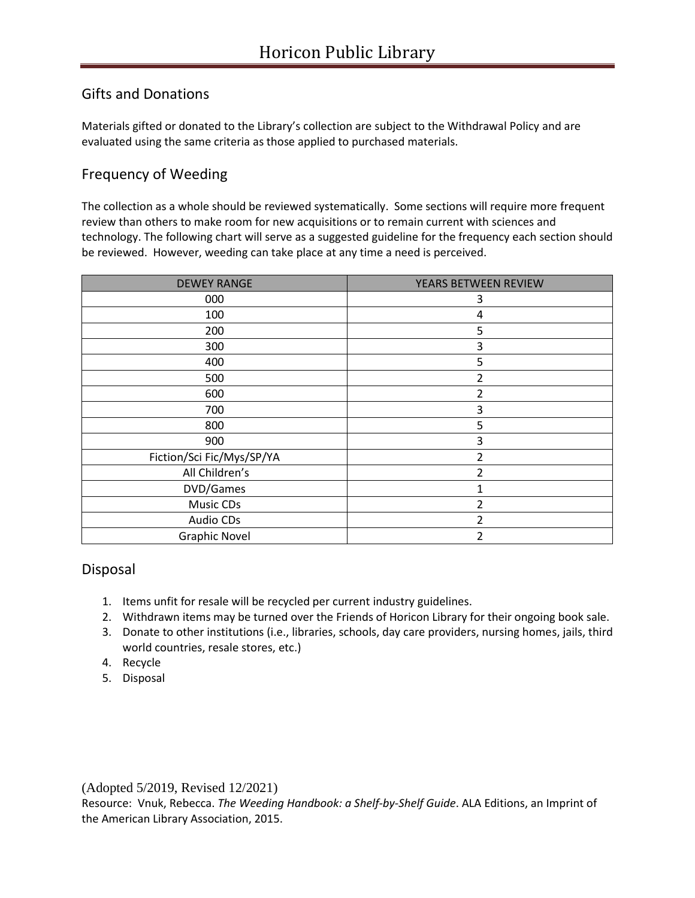# Gifts and Donations

Materials gifted or donated to the Library's collection are subject to the Withdrawal Policy and are evaluated using the same criteria as those applied to purchased materials.

# Frequency of Weeding

The collection as a whole should be reviewed systematically. Some sections will require more frequent review than others to make room for new acquisitions or to remain current with sciences and technology. The following chart will serve as a suggested guideline for the frequency each section should be reviewed. However, weeding can take place at any time a need is perceived.

| <b>DEWEY RANGE</b>        | YEARS BETWEEN REVIEW |
|---------------------------|----------------------|
| 000                       | 3                    |
| 100                       | 4                    |
| 200                       | 5                    |
| 300                       | 3                    |
| 400                       | 5                    |
| 500                       | 2                    |
| 600                       | 2                    |
| 700                       | 3                    |
| 800                       | 5                    |
| 900                       | 3                    |
| Fiction/Sci Fic/Mys/SP/YA | 2                    |
| All Children's            | 2                    |
| DVD/Games                 |                      |
| <b>Music CDs</b>          | 2                    |
| <b>Audio CDs</b>          | 2                    |
| <b>Graphic Novel</b>      | 2                    |

### Disposal

- 1. Items unfit for resale will be recycled per current industry guidelines.
- 2. Withdrawn items may be turned over the Friends of Horicon Library for their ongoing book sale.
- 3. Donate to other institutions (i.e., libraries, schools, day care providers, nursing homes, jails, third world countries, resale stores, etc.)
- 4. Recycle
- 5. Disposal

(Adopted 5/2019, Revised 12/2021)

Resource: Vnuk, Rebecca. *The Weeding Handbook: a Shelf-by-Shelf Guide*. ALA Editions, an Imprint of the American Library Association, 2015.